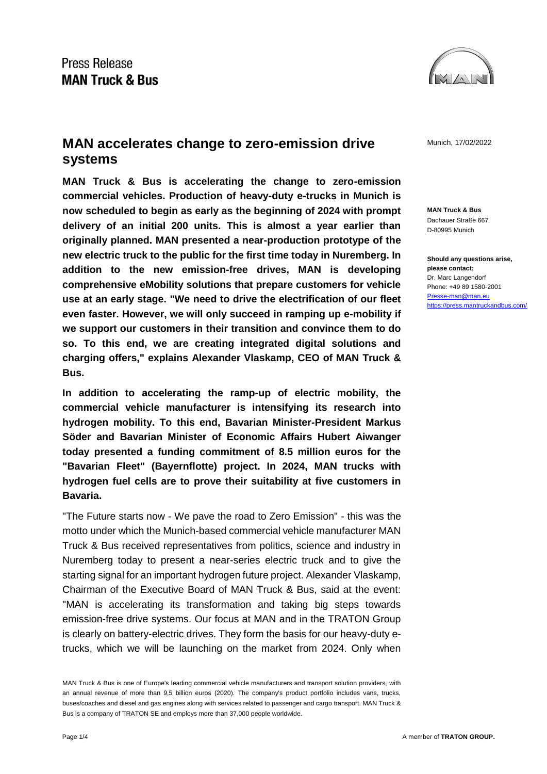## Press Release **MAN Truck & Bus**



**MAN accelerates change to zero-emission drive** Munich, 17/02/2022 **systems** 

**MAN Truck & Bus is accelerating the change to zero-emission commercial vehicles. Production of heavy-duty e-trucks in Munich is now scheduled to begin as early as the beginning of 2024 with prompt delivery of an initial 200 units. This is almost a year earlier than originally planned. MAN presented a near-production prototype of the new electric truck to the public for the first time today in Nuremberg. In addition to the new emission-free drives, MAN is developing comprehensive eMobility solutions that prepare customers for vehicle use at an early stage. "We need to drive the electrification of our fleet even faster. However, we will only succeed in ramping up e-mobility if we support our customers in their transition and convince them to do so. To this end, we are creating integrated digital solutions and charging offers," explains Alexander Vlaskamp, CEO of MAN Truck & Bus.**

**In addition to accelerating the ramp-up of electric mobility, the commercial vehicle manufacturer is intensifying its research into hydrogen mobility. To this end, Bavarian Minister-President Markus Söder and Bavarian Minister of Economic Affairs Hubert Aiwanger today presented a funding commitment of 8.5 million euros for the "Bavarian Fleet" (Bayernflotte) project. In 2024, MAN trucks with hydrogen fuel cells are to prove their suitability at five customers in Bavaria.**

"The Future starts now - We pave the road to Zero Emission" - this was the motto under which the Munich-based commercial vehicle manufacturer MAN Truck & Bus received representatives from politics, science and industry in Nuremberg today to present a near-series electric truck and to give the starting signal for an important hydrogen future project. Alexander Vlaskamp, Chairman of the Executive Board of MAN Truck & Bus, said at the event: "MAN is accelerating its transformation and taking big steps towards emission-free drive systems. Our focus at MAN and in the TRATON Group is clearly on battery-electric drives. They form the basis for our heavy-duty etrucks, which we will be launching on the market from 2024. Only when

**MAN Truck & Bus** Dachauer Straße 667 D-80995 Munich

**Should any questions arise, please contact:** Dr. Marc Langendorf Phone: +49 89 1580-2001 [Presse-man@man.eu](mailto:Presse-man@man.eu) <https://press.mantruckandbus.com/>

MAN Truck & Bus is one of Europe's leading commercial vehicle manufacturers and transport solution providers, with an annual revenue of more than 9,5 billion euros (2020). The company's product portfolio includes vans, trucks, buses/coaches and diesel and gas engines along with services related to passenger and cargo transport. MAN Truck & Bus is a company of TRATON SE and employs more than 37,000 people worldwide.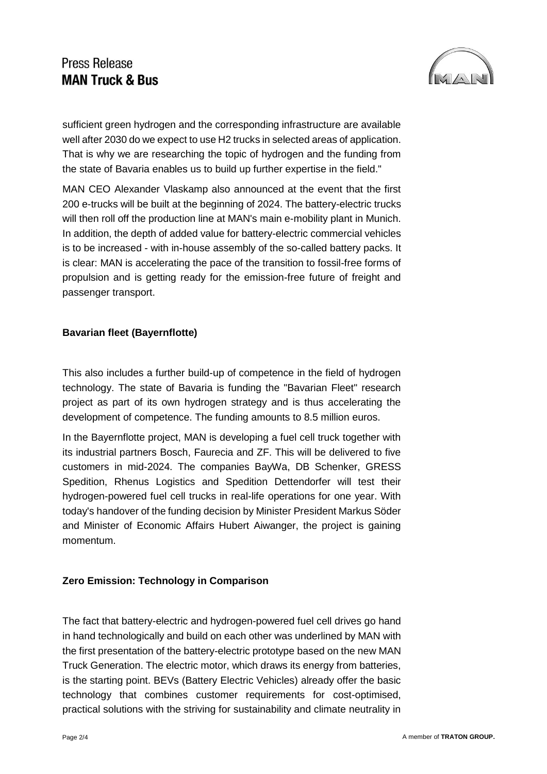# Press Release **MAN Truck & Bus**



sufficient green hydrogen and the corresponding infrastructure are available well after 2030 do we expect to use H2 trucks in selected areas of application. That is why we are researching the topic of hydrogen and the funding from the state of Bavaria enables us to build up further expertise in the field."

MAN CEO Alexander Vlaskamp also announced at the event that the first 200 e-trucks will be built at the beginning of 2024. The battery-electric trucks will then roll off the production line at MAN's main e-mobility plant in Munich. In addition, the depth of added value for battery-electric commercial vehicles is to be increased - with in-house assembly of the so-called battery packs. It is clear: MAN is accelerating the pace of the transition to fossil-free forms of propulsion and is getting ready for the emission-free future of freight and passenger transport.

## **Bavarian fleet (Bayernflotte)**

This also includes a further build-up of competence in the field of hydrogen technology. The state of Bavaria is funding the "Bavarian Fleet" research project as part of its own hydrogen strategy and is thus accelerating the development of competence. The funding amounts to 8.5 million euros.

In the Bayernflotte project, MAN is developing a fuel cell truck together with its industrial partners Bosch, Faurecia and ZF. This will be delivered to five customers in mid-2024. The companies BayWa, DB Schenker, GRESS Spedition, Rhenus Logistics and Spedition Dettendorfer will test their hydrogen-powered fuel cell trucks in real-life operations for one year. With today's handover of the funding decision by Minister President Markus Söder and Minister of Economic Affairs Hubert Aiwanger, the project is gaining momentum.

## **Zero Emission: Technology in Comparison**

The fact that battery-electric and hydrogen-powered fuel cell drives go hand in hand technologically and build on each other was underlined by MAN with the first presentation of the battery-electric prototype based on the new MAN Truck Generation. The electric motor, which draws its energy from batteries, is the starting point. BEVs (Battery Electric Vehicles) already offer the basic technology that combines customer requirements for cost-optimised, practical solutions with the striving for sustainability and climate neutrality in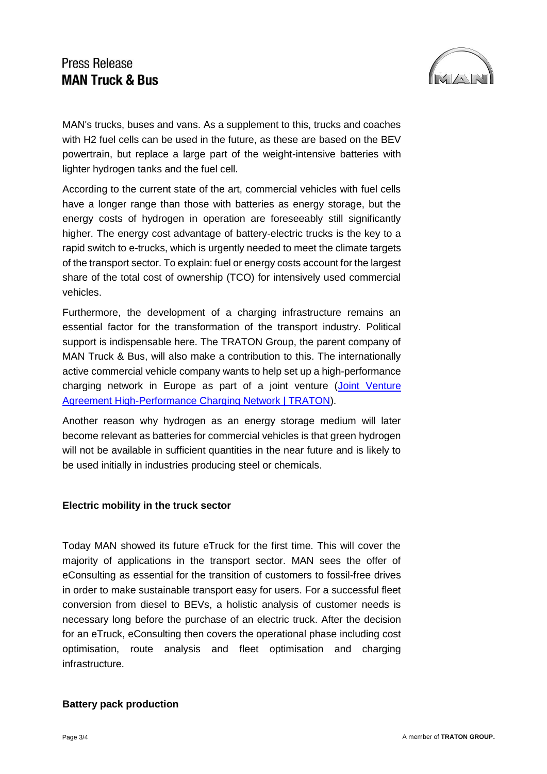## **Press Release MAN Truck & Bus**



MAN's trucks, buses and vans. As a supplement to this, trucks and coaches with H2 fuel cells can be used in the future, as these are based on the BEV powertrain, but replace a large part of the weight-intensive batteries with lighter hydrogen tanks and the fuel cell.

According to the current state of the art, commercial vehicles with fuel cells have a longer range than those with batteries as energy storage, but the energy costs of hydrogen in operation are foreseeably still significantly higher. The energy cost advantage of battery-electric trucks is the key to a rapid switch to e-trucks, which is urgently needed to meet the climate targets of the transport sector. To explain: fuel or energy costs account for the largest share of the total cost of ownership (TCO) for intensively used commercial vehicles.

Furthermore, the development of a charging infrastructure remains an essential factor for the transformation of the transport industry. Political support is indispensable here. The TRATON Group, the parent company of MAN Truck & Bus, will also make a contribution to this. The internationally active commercial vehicle company wants to help set up a high-performance charging network in Europe as part of a joint venture (Joint Venture [Agreement High-Performance Charging Network | TRATON\)](https://traton.com/en/newsroom/press_releases/press-release-16122021.html).

Another reason why hydrogen as an energy storage medium will later become relevant as batteries for commercial vehicles is that green hydrogen will not be available in sufficient quantities in the near future and is likely to be used initially in industries producing steel or chemicals.

#### **Electric mobility in the truck sector**

Today MAN showed its future eTruck for the first time. This will cover the majority of applications in the transport sector. MAN sees the offer of eConsulting as essential for the transition of customers to fossil-free drives in order to make sustainable transport easy for users. For a successful fleet conversion from diesel to BEVs, a holistic analysis of customer needs is necessary long before the purchase of an electric truck. After the decision for an eTruck, eConsulting then covers the operational phase including cost optimisation, route analysis and fleet optimisation and charging infrastructure.

#### **Battery pack production**